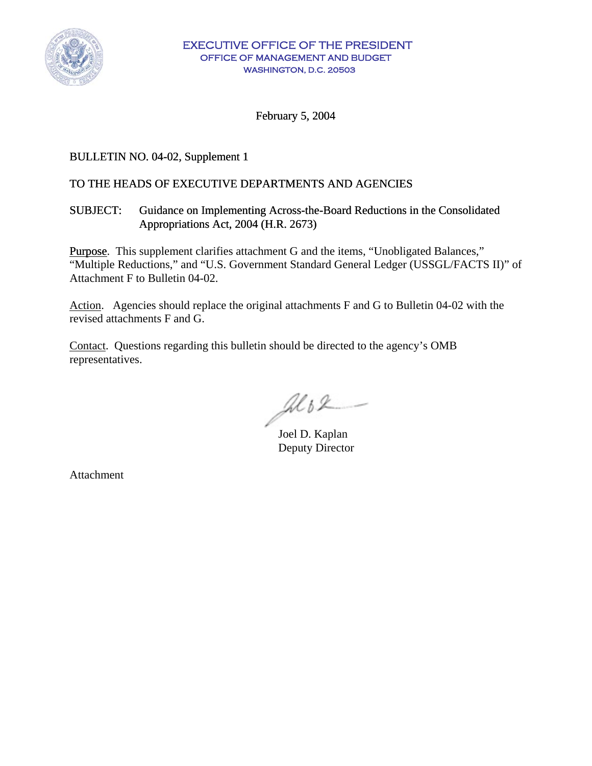

February 5, 2004

# BULLETIN NO. 04-02, Supplement 1

### TO THE HEADS OF EXECUTIVE DEPARTMENTS AND AGENCIES

### SUBJECT: Guidance on Implementing Across-the-Board Reductions in the Consolidated Appropriations Act, 2004 (H.R. 2673)

Purpose. This supplement clarifies attachment G and the items, "Unobligated Balances," "Multiple Reductions," and "U.S. Government Standard General Ledger (USSGL/FACTS II)" of Attachment F to Bulletin 04-02.

Action. Agencies should replace the original attachments F and G to Bulletin 04-02 with the revised attachments F and G.

Contact. Questions regarding this bulletin should be directed to the agency's OMB representatives.

 $\mathcal{A}$ l b $\mathcal{L}$  -

Deputy Director

Attachment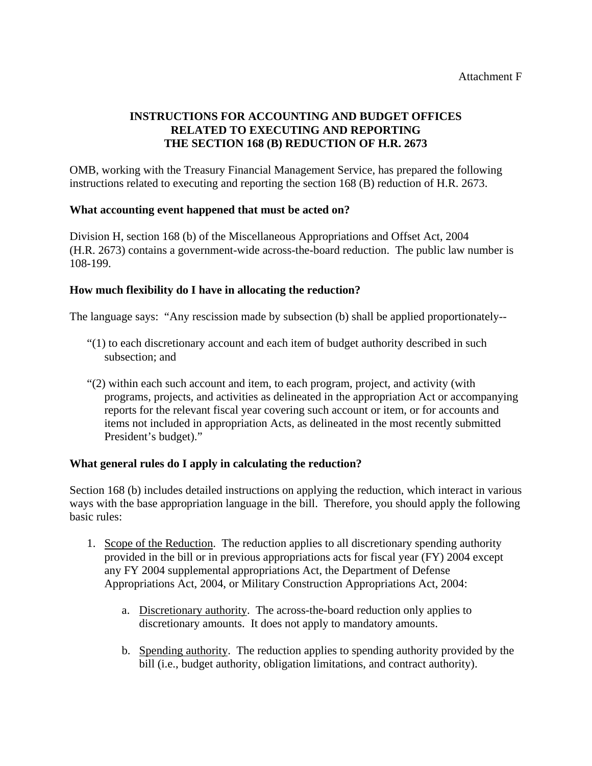# **INSTRUCTIONS FOR ACCOUNTING AND BUDGET OFFICES RELATED TO EXECUTING AND REPORTING THE SECTION 168 (B) REDUCTION OF H.R. 2673**

OMB, working with the Treasury Financial Management Service, has prepared the following instructions related to executing and reporting the section 168 (B) reduction of H.R. 2673.

### **What accounting event happened that must be acted on?**

Division H, section 168 (b) of the Miscellaneous Appropriations and Offset Act, 2004 (H.R. 2673) contains a government-wide across-the-board reduction. The public law number is 108-199.

### **How much flexibility do I have in allocating the reduction?**

The language says: "Any rescission made by subsection (b) shall be applied proportionately--

- "(1) to each discretionary account and each item of budget authority described in such subsection; and
- "(2) within each such account and item, to each program, project, and activity (with programs, projects, and activities as delineated in the appropriation Act or accompanying reports for the relevant fiscal year covering such account or item, or for accounts and items not included in appropriation Acts, as delineated in the most recently submitted President's budget)."

#### **What general rules do I apply in calculating the reduction?**

Section 168 (b) includes detailed instructions on applying the reduction, which interact in various ways with the base appropriation language in the bill. Therefore, you should apply the following basic rules:

- 1. Scope of the Reduction. The reduction applies to all discretionary spending authority provided in the bill or in previous appropriations acts for fiscal year (FY) 2004 except any FY 2004 supplemental appropriations Act, the Department of Defense Appropriations Act, 2004, or Military Construction Appropriations Act, 2004:
	- a. Discretionary authority. The across-the-board reduction only applies to discretionary amounts. It does not apply to mandatory amounts.
	- b. Spending authority. The reduction applies to spending authority provided by the bill (i.e., budget authority, obligation limitations, and contract authority).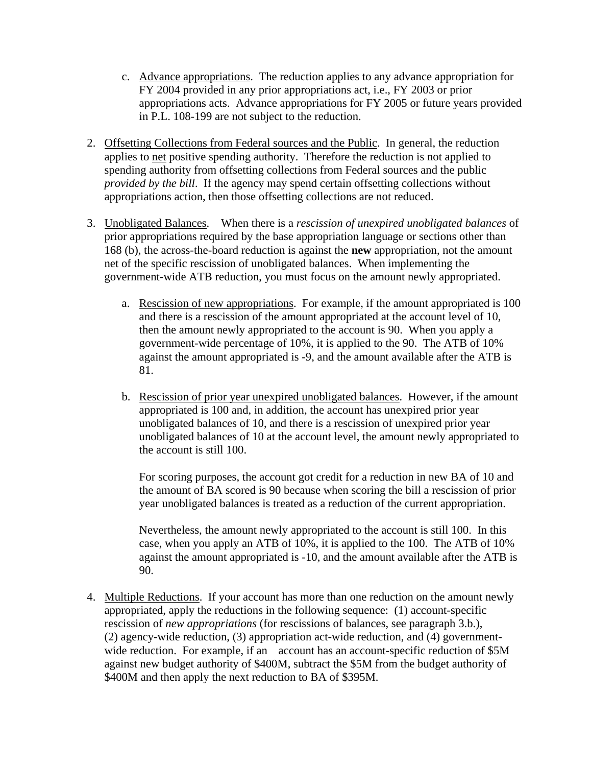- c. Advance appropriations. The reduction applies to any advance appropriation for FY 2004 provided in any prior appropriations act, i.e., FY 2003 or prior appropriations acts. Advance appropriations for FY 2005 or future years provided in P.L. 108-199 are not subject to the reduction.
- 2. Offsetting Collections from Federal sources and the Public. In general, the reduction applies to net positive spending authority. Therefore the reduction is not applied to spending authority from offsetting collections from Federal sources and the public *provided by the bill*. If the agency may spend certain offsetting collections without appropriations action, then those offsetting collections are not reduced.
- 3. Unobligated Balances. When there is a *rescission of unexpired unobligated balances* of prior appropriations required by the base appropriation language or sections other than 168 (b), the across-the-board reduction is against the **new** appropriation, not the amount net of the specific rescission of unobligated balances. When implementing the government-wide ATB reduction, you must focus on the amount newly appropriated.
	- a. Rescission of new appropriations. For example, if the amount appropriated is 100 and there is a rescission of the amount appropriated at the account level of 10, then the amount newly appropriated to the account is 90. When you apply a government-wide percentage of 10%, it is applied to the 90. The ATB of 10% against the amount appropriated is -9, and the amount available after the ATB is 81.
	- b. Rescission of prior year unexpired unobligated balances. However, if the amount appropriated is 100 and, in addition, the account has unexpired prior year unobligated balances of 10, and there is a rescission of unexpired prior year unobligated balances of 10 at the account level, the amount newly appropriated to the account is still 100.

 For scoring purposes, the account got credit for a reduction in new BA of 10 and the amount of BA scored is 90 because when scoring the bill a rescission of prior year unobligated balances is treated as a reduction of the current appropriation.

 Nevertheless, the amount newly appropriated to the account is still 100. In this case, when you apply an ATB of 10%, it is applied to the 100. The ATB of 10% against the amount appropriated is -10, and the amount available after the ATB is 90.

4. Multiple Reductions. If your account has more than one reduction on the amount newly appropriated, apply the reductions in the following sequence: (1) account-specific rescission of *new appropriations* (for rescissions of balances, see paragraph 3.b.), (2) agency-wide reduction, (3) appropriation act-wide reduction, and (4) government wide reduction. For example, if an account has an account-specific reduction of \$5M against new budget authority of \$400M, subtract the \$5M from the budget authority of \$400M and then apply the next reduction to BA of \$395M.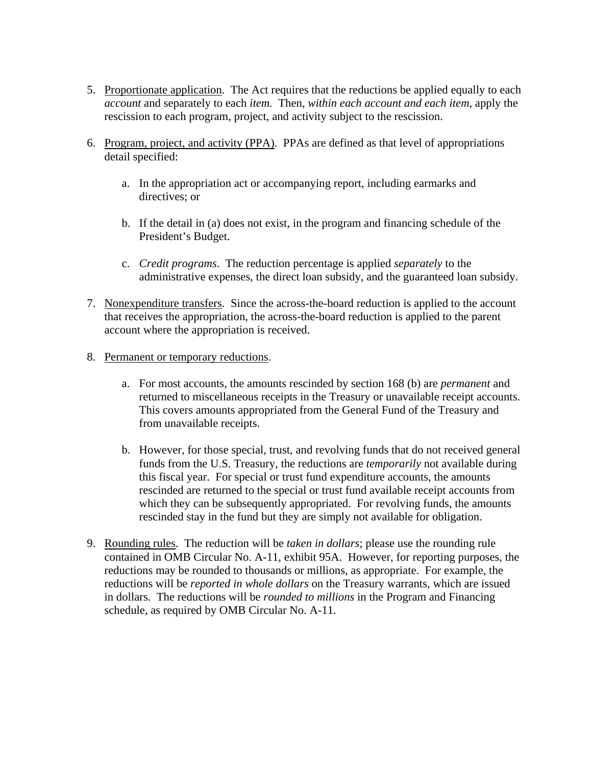- 5. Proportionate application. The Act requires that the reductions be applied equally to each *account* and separately to each *item.* Then, *within each account and each item*, apply the rescission to each program, project, and activity subject to the rescission.
- 6. Program, project, and activity (PPA). PPAs are defined as that level of appropriations detail specified:
	- a. In the appropriation act or accompanying report, including earmarks and directives; or
	- b. If the detail in (a) does not exist, in the program and financing schedule of the President's Budget.
	- c. *Credit programs*. The reduction percentage is applied *separately* to the administrative expenses, the direct loan subsidy, and the guaranteed loan subsidy.
- 7. Nonexpenditure transfers. Since the across-the-board reduction is applied to the account that receives the appropriation, the across-the-board reduction is applied to the parent account where the appropriation is received.
- 8. Permanent or temporary reductions.
	- a. For most accounts, the amounts rescinded by section 168 (b) are *permanent* and returned to miscellaneous receipts in the Treasury or unavailable receipt accounts. This covers amounts appropriated from the General Fund of the Treasury and from unavailable receipts.
	- b. However, for those special, trust, and revolving funds that do not received general funds from the U.S. Treasury, the reductions are *temporarily* not available during this fiscal year. For special or trust fund expenditure accounts, the amounts rescinded are returned to the special or trust fund available receipt accounts from which they can be subsequently appropriated. For revolving funds, the amounts rescinded stay in the fund but they are simply not available for obligation.
- 9. Rounding rules. The reduction will be *taken in dollars*; please use the rounding rule contained in OMB Circular No. A-11, exhibit 95A. However, for reporting purposes, the reductions may be rounded to thousands or millions, as appropriate. For example, the reductions will be *reported in whole dollars* on the Treasury warrants, which are issued in dollars. The reductions will be *rounded to millions* in the Program and Financing schedule, as required by OMB Circular No. A-11.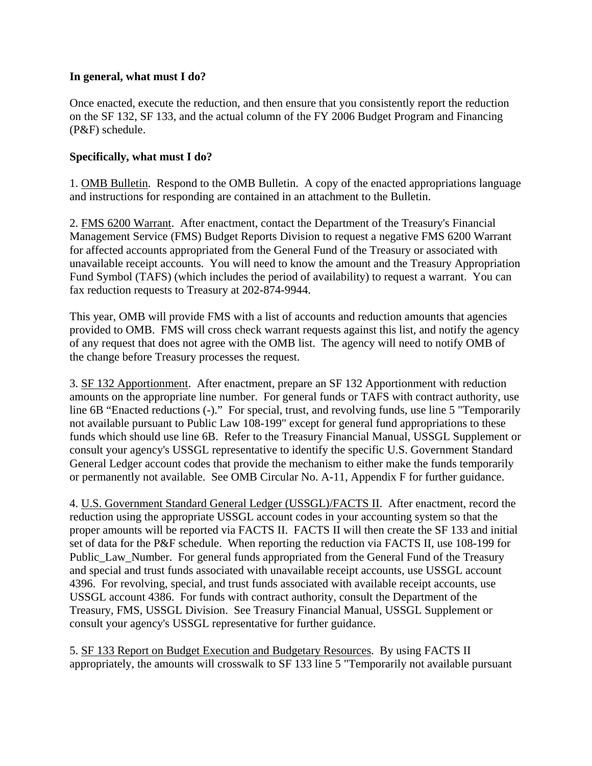#### **In general, what must I do?**

Once enacted, execute the reduction, and then ensure that you consistently report the reduction on the SF 132, SF 133, and the actual column of the FY 2006 Budget Program and Financing (P&F) schedule.

# **Specifically, what must I do?**

1. OMB Bulletin. Respond to the OMB Bulletin. A copy of the enacted appropriations language and instructions for responding are contained in an attachment to the Bulletin.

2. FMS 6200 Warrant. After enactment, contact the Department of the Treasury's Financial Management Service (FMS) Budget Reports Division to request a negative FMS 6200 Warrant for affected accounts appropriated from the General Fund of the Treasury or associated with unavailable receipt accounts. You will need to know the amount and the Treasury Appropriation Fund Symbol (TAFS) (which includes the period of availability) to request a warrant. You can fax reduction requests to Treasury at 202-874-9944.

This year, OMB will provide FMS with a list of accounts and reduction amounts that agencies provided to OMB. FMS will cross check warrant requests against this list, and notify the agency of any request that does not agree with the OMB list. The agency will need to notify OMB of the change before Treasury processes the request.

3. SF 132 Apportionment. After enactment, prepare an SF 132 Apportionment with reduction amounts on the appropriate line number. For general funds or TAFS with contract authority, use line 6B "Enacted reductions (-)." For special, trust, and revolving funds, use line 5 "Temporarily not available pursuant to Public Law 108-199" except for general fund appropriations to these funds which should use line 6B. Refer to the Treasury Financial Manual, USSGL Supplement or consult your agency's USSGL representative to identify the specific U.S. Government Standard General Ledger account codes that provide the mechanism to either make the funds temporarily or permanently not available. See OMB Circular No. A-11, Appendix F for further guidance.

4. U.S. Government Standard General Ledger (USSGL)/FACTS II. After enactment, record the reduction using the appropriate USSGL account codes in your accounting system so that the proper amounts will be reported via FACTS II. FACTS II will then create the SF 133 and initial set of data for the P&F schedule. When reporting the reduction via FACTS II, use 108-199 for Public\_Law\_Number. For general funds appropriated from the General Fund of the Treasury and special and trust funds associated with unavailable receipt accounts, use USSGL account 4396. For revolving, special, and trust funds associated with available receipt accounts, use USSGL account 4386. For funds with contract authority, consult the Department of the Treasury, FMS, USSGL Division. See Treasury Financial Manual, USSGL Supplement or consult your agency's USSGL representative for further guidance.

5. SF 133 Report on Budget Execution and Budgetary Resources. By using FACTS II appropriately, the amounts will crosswalk to SF 133 line 5 "Temporarily not available pursuant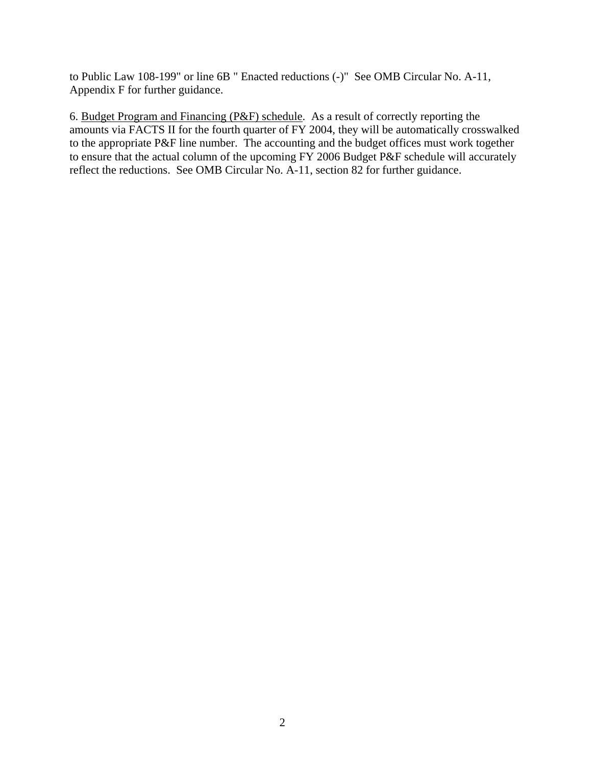to Public Law 108-199" or line 6B " Enacted reductions (-)" See OMB Circular No. A-11, Appendix F for further guidance.

6. Budget Program and Financing (P&F) schedule. As a result of correctly reporting the amounts via FACTS II for the fourth quarter of FY 2004, they will be automatically crosswalked to the appropriate P&F line number. The accounting and the budget offices must work together to ensure that the actual column of the upcoming FY 2006 Budget P&F schedule will accurately reflect the reductions. See OMB Circular No. A-11, section 82 for further guidance.